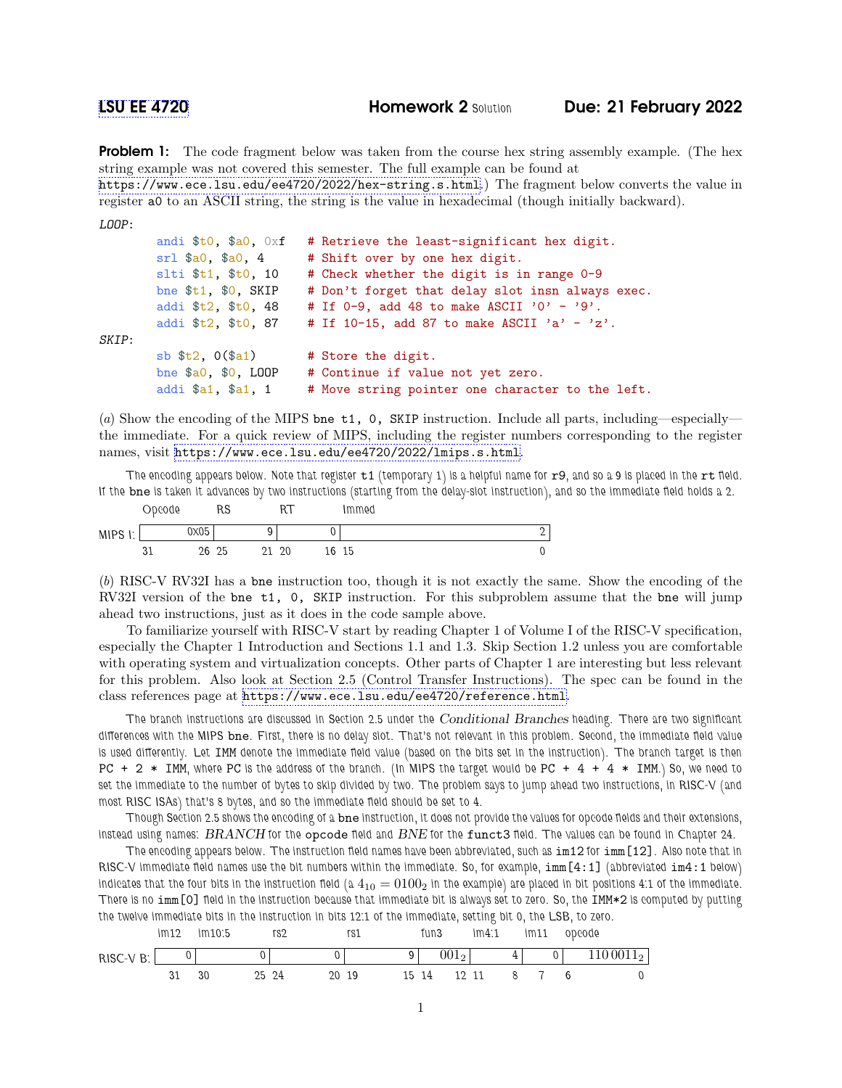**Problem 1:** The code fragment below was taken from the course hex string assembly example. (The hex string example was not covered this semester. The full example can be found at <https://www.ece.lsu.edu/ee4720/2022/hex-string.s.html>.) The fragment below converts the value in register a0 to an ASCII string, the string is the value in hexadecimal (though initially backward).

```
LOOP:
```

|       | andi $t0$ , $a0$ , $0x$ f | # Retrieve the least-significant hex digit.      |
|-------|---------------------------|--------------------------------------------------|
|       | $sr1$ \$a0, \$a0, 4       | # Shift over by one hex digit.                   |
|       | slti \$t1, \$t0, 10       | # Check whether the digit is in range 0-9        |
|       | bne $$t1, $0, SKIP$       | # Don't forget that delay slot insn always exec. |
|       | addi \$t2, \$t0, 48       | # If $0-9$ , add 48 to make ASCII '0' - '9'.     |
|       | addi \$t2, \$t0, 87       | # If $10-15$ , add 87 to make ASCII 'a' - 'z'.   |
| SKIP: |                           |                                                  |
|       | sb $t2$ , $0$ $(ta1)$     | # Store the digit.                               |
|       | bne $$a0, $0, LOOP$       | # Continue if value not yet zero.                |
|       | addi \$a1, \$a1, 1        | # Move string pointer one character to the left. |

(a) Show the encoding of the MIPS bne t1, 0, SKIP instruction. Include all parts, including—especially the immediate. For a quick review of MIPS, including the register numbers corresponding to the register names, visit <https://www.ece.lsu.edu/ee4720/2022/lmips.s.html>.

The encoding appears below. Note that register  $t1$  (temporary 1) is a helpful name for  $r9$ , and so a 9 is placed in the  $rt$  field. If the bne is taken it advances by two instructions (starting from the delay-slot instruction), and so the immediate field holds a 2.

|                                    | opcode |      | RS | ĸ١ |    | Immed |   |  |
|------------------------------------|--------|------|----|----|----|-------|---|--|
| <b>MIPS</b><br>$\mathbf{L}$<br>. . |        | 0x05 |    |    |    |       | ∸ |  |
|                                    | ບ⊥     | 26   | 25 | 20 | 6ء | 15    |   |  |

(b) RISC-V RV32I has a bne instruction too, though it is not exactly the same. Show the encoding of the RV32I version of the bne t1, 0, SKIP instruction. For this subproblem assume that the bne will jump ahead two instructions, just as it does in the code sample above.

To familiarize yourself with RISC-V start by reading Chapter 1 of Volume I of the RISC-V specification, especially the Chapter 1 Introduction and Sections 1.1 and 1.3. Skip Section 1.2 unless you are comfortable with operating system and virtualization concepts. Other parts of Chapter 1 are interesting but less relevant for this problem. Also look at Section 2.5 (Control Transfer Instructions). The spec can be found in the class references page at <https://www.ece.lsu.edu/ee4720/reference.html>.

The branch instructions are discussed in Section 2.5 under the Conditional Branches heading. There are two significant differences with the MIPS bne. First, there is no delay slot. That's not relevant in this problem. Second, the immediate field value is used differently. Let IMM denote the immediate field value (based on the bits set in the instruction). The branch target is then PC  $+2$  \* IMM, where PC is the address of the branch. (In MIPS the target would be PC  $+4 + 4$  \* IMM.) So, we need to set the immediate to the number of bytes to skip divided by two. The problem says to jump ahead two instructions, in RISC-V (and most RISC ISAs) that's 8 bytes, and so the immediate field should be set to 4.

Though Section 2.5 shows the encoding of a bne instruction, it does not provide the values for opcode fields and their extensions, instead using names: BRANCH for the opcode field and BNE for the funct3 field. The values can be found in Chapter 24.

The encoding appears below. The instruction field names have been abbreviated, such as im12 for imm[12]. Also note that in RISC-V immediate field names use the bit numbers within the immediate. So, for example, imm[4:1] (abbreviated im4:1 below) indicates that the four bits in the instruction field (a  $4_{10} = 0100_2$  in the example) are placed in bit positions 4:1 of the immediate. There is no imm[0] field in the instruction because that immediate bit is always set to zero. So, the IMM\*2 is computed by putting the twelve immediate bits in the instruction in bits 12:1 of the immediate, setting bit 0, the LSB, to zero.

|            | im12 | im10.5 |       | rs2 |       | rs1 | fun3 |             | im4.1 |   | im11           | opcode      |
|------------|------|--------|-------|-----|-------|-----|------|-------------|-------|---|----------------|-------------|
| $RISC-VB:$ |      |        |       |     |       |     |      | $001_2$     |       | 4 | $\overline{0}$ | $1100011_2$ |
|            |      | 30     | 25 24 |     | 20 19 |     |      | 15 14 12 11 |       |   | 8 7            |             |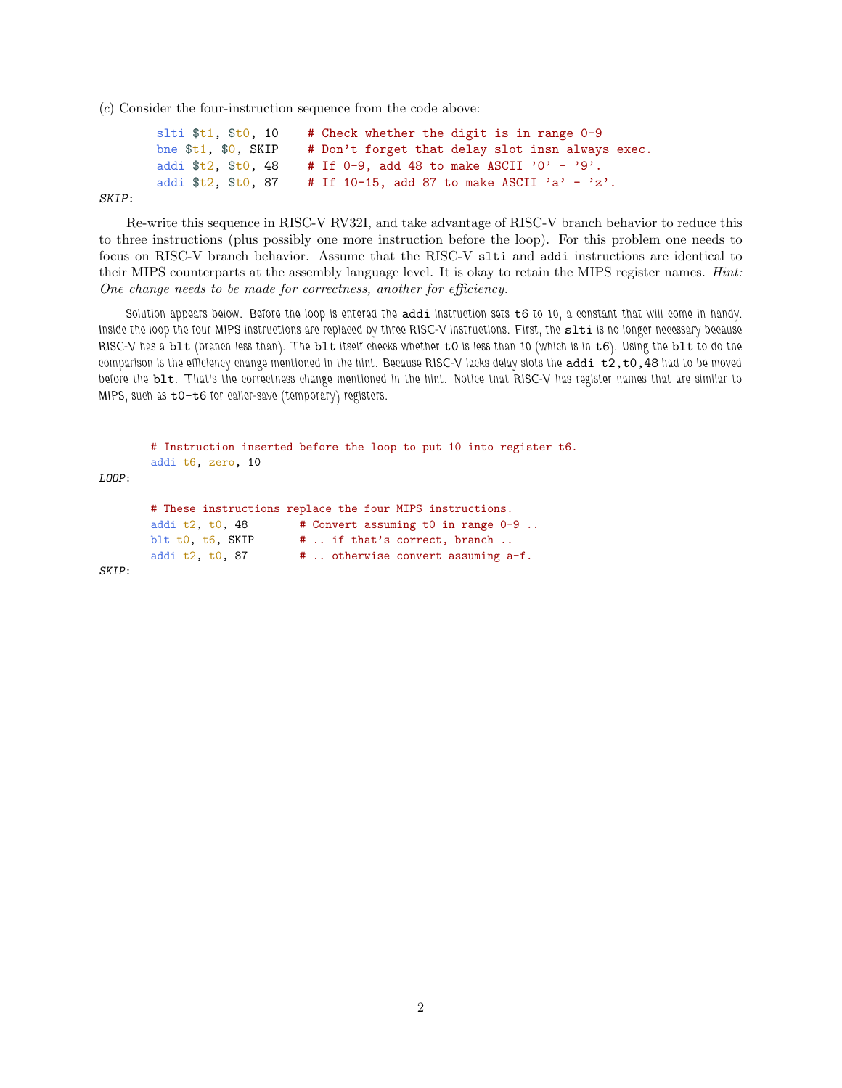(c) Consider the four-instruction sequence from the code above:

```
slti t_1, t_0, t_1 , t_1 , t_2 and t_3 whether the digit is in range 0-9
bne t_1, 0, SKIP # Don't forget that delay slot insn always exec.
addi t_2, t_0, 48 # If 0-9, add 48 to make ASCII '0' - '9'.
addi t2, t0, 87 # If 10-15, add 87 to make ASCII 'a' - 'z'.
```
SKIP:

Re-write this sequence in RISC-V RV32I, and take advantage of RISC-V branch behavior to reduce this to three instructions (plus possibly one more instruction before the loop). For this problem one needs to focus on RISC-V branch behavior. Assume that the RISC-V slti and addi instructions are identical to their MIPS counterparts at the assembly language level. It is okay to retain the MIPS register names. Hint: One change needs to be made for correctness, another for efficiency.

Solution appears below. Before the loop is entered the  $addi$  instruction sets  $t6$  to 10, a constant that will come in handy. Inside the loop the four MIPS instructions are replaced by three RISC-V instructions. First, the slti is no longer necessary because RISC-V has a blt (branch less than). The blt itself checks whether t0 is less than 10 (which is in t6). Using the blt to do the comparison is the efficiency change mentioned in the hint. Because RISC-V lacks delay slots the addi  $t2,t0,48$  had to be moved before the blt. That's the correctness change mentioned in the hint. Notice that RISC-V has register names that are similar to MIPS, such as t0-t6 for caller-save (temporary) registers.

# Instruction inserted before the loop to put 10 into register t6. addi t6, zero, 10 LOOP: # These instructions replace the four MIPS instructions. addi t2, t0, 48  $\#$  Convert assuming t0 in range 0-9.. blt t0,  $t6$ , SKIP  $#$ .. if that's correct, branch.. addi t2,  $t0$ , 87  $\#$ .. otherwise convert assuming a-f. SKIP: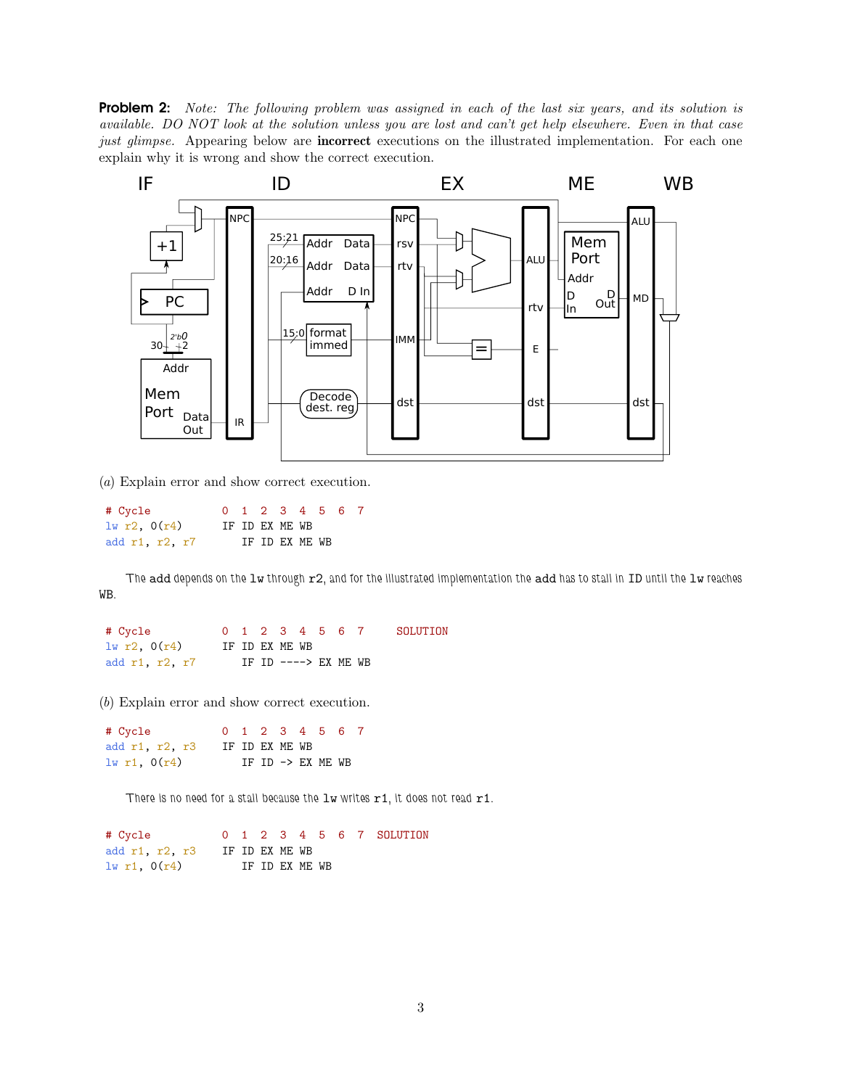**Problem 2:** Note: The following problem was assigned in each of the last six years, and its solution is available. DO NOT look at the solution unless you are lost and can't get help elsewhere. Even in that case just glimpse. Appearing below are **incorrect** executions on the illustrated implementation. For each one explain why it is wrong and show the correct execution.



(a) Explain error and show correct execution.

| # Cycle        |  |                | 0 1 2 3 4 5 6 7 |  |  |
|----------------|--|----------------|-----------------|--|--|
| 1w r2, 0(r4)   |  | IF ID EX ME WB |                 |  |  |
| add r1, r2, r7 |  |                | IF ID EX ME WB  |  |  |

The add depends on the lw through r2, and for the illustrated implementation the add has to stall in ID until the lw reaches WB.

| # Cycle        |  |                |  | 0 1 2 3 4 5 6 7       | SOLUTION |
|----------------|--|----------------|--|-----------------------|----------|
| 1w r2, 0(r4)   |  | IF ID EX ME WB |  |                       |          |
| add r1, r2, r7 |  |                |  | IF ID $--->$ EX ME WB |          |

(b) Explain error and show correct execution.

| # Cycle          |                |  |  | 0 1 2 3 4 5 6 7   |  |
|------------------|----------------|--|--|-------------------|--|
| add r1, r2, r3   | IF ID EX ME WB |  |  |                   |  |
| $1w$ r1, $0(r4)$ |                |  |  | IF ID -> EX ME WB |  |

There is no need for a stall because the  $1w$  writes  $r1$ , it does not read  $r1$ .

```
# Cycle 0 1 2 3 4 5 6 7 SOLUTION
add r1, r2, r3 IF ID EX ME WB
\ln r1, O(r4) IF ID EX ME WB
```